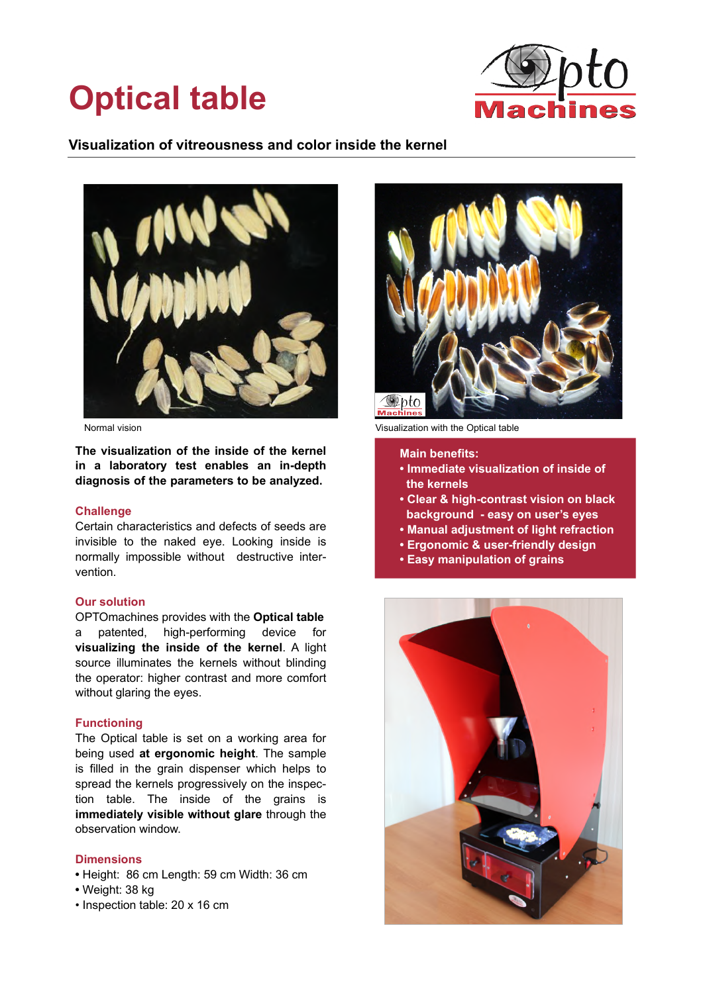# **Optical table**



## **Visualization of vitreousness and color inside the kernel**



**The visualization of the inside of the kernel in a laboratory test enables an in-depth diagnosis of the parameters to be analyzed.** 

#### **Challenge**

Certain characteristics and defects of seeds are invisible to the naked eye. Looking inside is normally impossible without destructive intervention.

#### **Our solution**

OPTOmachines provides with the **Optical table** a patented, high-performing device for **visualizing the inside of the kernel**. A light source illuminates the kernels without blinding the operator: higher contrast and more comfort without glaring the eyes.

#### **Functioning**

The Optical table is set on a working area for being used **at ergonomic height**. The sample is filled in the grain dispenser which helps to spread the kernels progressively on the inspection table. The inside of the grains is **immediately visible without glare** through the observation window.

#### **Dimensions**

- Height: 86 cm Length: 59 cm Width: 36 cm
- Weight: 38 kg
- Inspection table: 20 x 16 cm



Normal vision **Visualization Wisualization with the Optical table** 

**Main benefits:**

- **Immediate visualization of inside of the kernels**
- **Clear & high-contrast vision on black background - easy on user's eyes**
- **Manual adjustment of light refraction**
- **Ergonomic & user-friendly design**
- **Easy manipulation of grains**